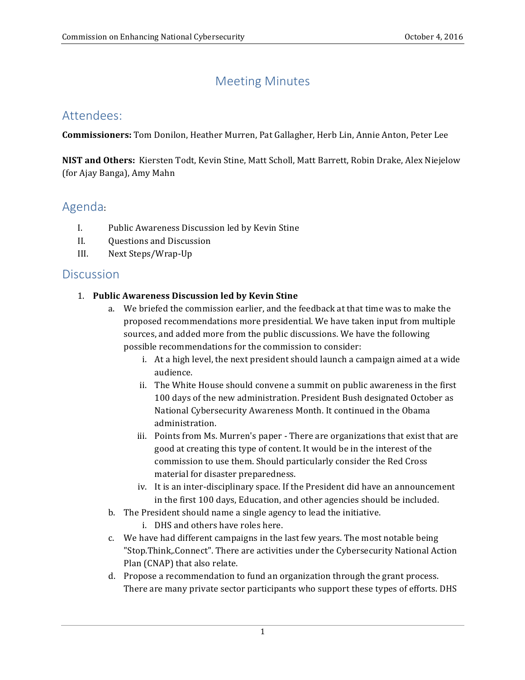# Meeting Minutes

### Attendees:

 **Commissioners:** Tom Donilon, Heather Murren, Pat Gallagher, Herb Lin, Annie Anton, Peter Lee

**NIST and Others:** Kiersten Todt, Kevin Stine, Matt Scholl, Matt Barrett, Robin Drake, Alex Niejelow (for Ajay Banga), Amy Mahn

## Agenda:

- I. Public Awareness Discussion led by Kevin Stine
- II. Questions and Discussion
- III. Next Steps/Wrap-Up

### **Discussion**

### 1. **Public Awareness Discussion led by Kevin Stine**

- a. We briefed the commission earlier, and the feedback at that time was to make the proposed recommendations more presidential. We have taken input from multiple sources, and added more from the public discussions. We have the following possible recommendations for the commission to consider:
	- i. At a high level, the next president should launch a campaign aimed at a wide audience.
	- ii. The White House should convene a summit on public awareness in the first 100 days of the new administration. President Bush designated October as National Cybersecurity Awareness Month. It continued in the Obama administration.
	- iii. Points from Ms. Murren's paper There are organizations that exist that are good at creating this type of content. It would be in the interest of the commission to use them. Should particularly consider the Red Cross material for disaster preparedness.
	- iv. It is an inter-disciplinary space. If the President did have an announcement in the first 100 days, Education, and other agencies should be included.
- b. The President should name a single agency to lead the initiative.
	- i. DHS and others have roles here.
- c. We have had different campaigns in the last few years. The most notable being "Stop.Think,.Connect". There are activities under the Cybersecurity National Action Plan (CNAP) that also relate.
- d. Propose a recommendation to fund an organization through the grant process. There are many private sector participants who support these types of efforts. DHS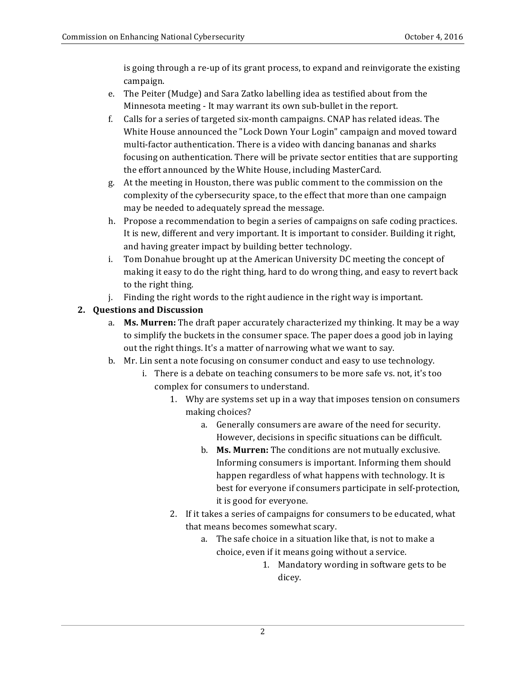is going through a re-up of its grant process, to expand and reinvigorate the existing campaign.

- e. The Peiter (Mudge) and Sara Zatko labelling idea as testified about from the Minnesota meeting - It may warrant its own sub-bullet in the report.
- f. Calls for a series of targeted six-month campaigns. CNAP has related ideas. The White House announced the "Lock Down Your Login" campaign and moved toward focusing on authentication. There will be private sector entities that are supporting the effort announced by the White House, including MasterCard. multi-factor authentication. There is a video with dancing bananas and sharks
- g. At the meeting in Houston, there was public comment to the commission on the complexity of the cybersecurity space, to the effect that more than one campaign may be needed to adequately spread the message.
- h. Propose a recommendation to begin a series of campaigns on safe coding practices. It is new, different and very important. It is important to consider. Building it right, and having greater impact by building better technology.
- i. Tom Donahue brought up at the American University DC meeting the concept of making it easy to do the right thing, hard to do wrong thing, and easy to revert back to the right thing.
- j. Finding the right words to the right audience in the right way is important.

### **2. Questions and Discussion**

- a. **Ms. Murren:** The draft paper accurately characterized my thinking. It may be a way to simplify the buckets in the consumer space. The paper does a good job in laying out the right things. It's a matter of narrowing what we want to say.
- b. Mr. Lin sent a note focusing on consumer conduct and easy to use technology.
	- i. There is a debate on teaching consumers to be more safe vs. not, it's too complex for consumers to understand.
		- 1. Why are systems set up in a way that imposes tension on consumers making choices?
			- a. Generally consumers are aware of the need for security. However, decisions in specific situations can be difficult.
			- b. **Ms. Murren:** The conditions are not mutually exclusive. Informing consumers is important. Informing them should happen regardless of what happens with technology. It is best for everyone if consumers participate in self-protection, it is good for everyone.
		- 2. If it takes a series of campaigns for consumers to be educated, what that means becomes somewhat scary.
			- a. The safe choice in a situation like that, is not to make a choice, even if it means going without a service.
				- 1. Mandatory wording in software gets to be dicey.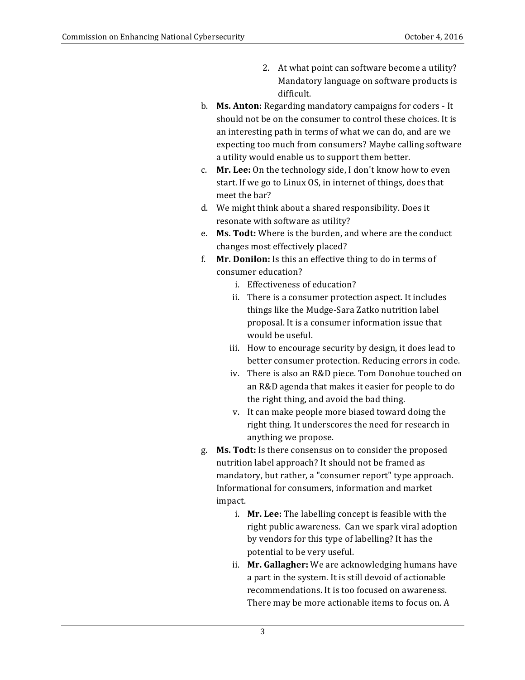- 2. At what point can software become a utility? Mandatory language on software products is difficult.
- b. **Ms. Anton:** Regarding mandatory campaigns for coders It should not be on the consumer to control these choices. It is an interesting path in terms of what we can do, and are we expecting too much from consumers? Maybe calling software a utility would enable us to support them better.
- c. **Mr. Lee:** On the technology side, I don't know how to even start. If we go to Linux OS, in internet of things, does that meet the bar?
- d. We might think about a shared responsibility. Does it resonate with software as utility?
- e. **Ms. Todt:** Where is the burden, and where are the conduct changes most effectively placed?
- f. **Mr. Donilon:** Is this an effective thing to do in terms of consumer education?
	- i. Effectiveness of education?
	- ii. There is a consumer protection aspect. It includes things like the Mudge-Sara Zatko nutrition label proposal. It is a consumer information issue that would be useful.
	- iii. How to encourage security by design, it does lead to better consumer protection. Reducing errors in code.
	- iv. There is also an R&D piece. Tom Donohue touched on an R&D agenda that makes it easier for people to do the right thing, and avoid the bad thing.
	- v. It can make people more biased toward doing the right thing. It underscores the need for research in anything we propose.
- g. **Ms. Todt:** Is there consensus on to consider the proposed nutrition label approach? It should not be framed as mandatory, but rather, a "consumer report" type approach. Informational for consumers, information and market impact.
	- i. **Mr. Lee:** The labelling concept is feasible with the right public awareness. Can we spark viral adoption by vendors for this type of labelling? It has the potential to be very useful.
	- ii. Mr. Gallagher: We are acknowledging humans have a part in the system. It is still devoid of actionable recommendations. It is too focused on awareness. There may be more actionable items to focus on. A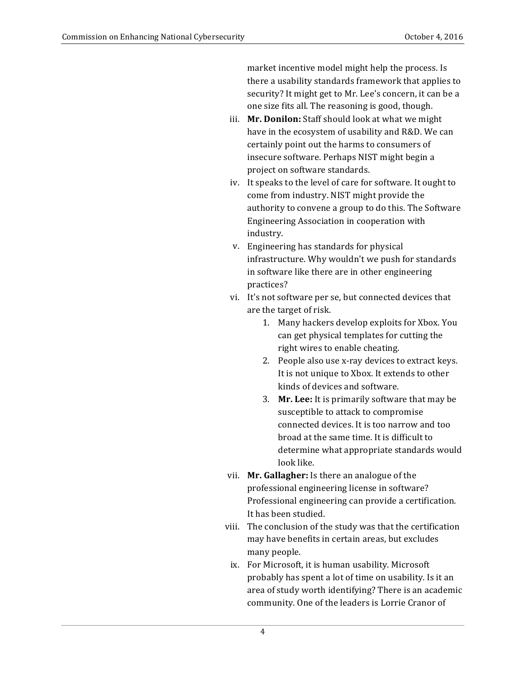market incentive model might help the process. Is there a usability standards framework that applies to security? It might get to Mr. Lee's concern, it can be a one size fits all. The reasoning is good, though.

- iii. **Mr. Donilon:** Staff should look at what we might have in the ecosystem of usability and R&D. We can certainly point out the harms to consumers of insecure software. Perhaps NIST might begin a project on software standards.
- iv. It speaks to the level of care for software. It ought to come from industry. NIST might provide the authority to convene a group to do this. The Software Engineering Association in cooperation with industry.
- v. Engineering has standards for physical infrastructure. Why wouldn't we push for standards in software like there are in other engineering practices?
- vi. It's not software per se, but connected devices that are the target of risk.
	- 1. Many hackers develop exploits for Xbox. You can get physical templates for cutting the right wires to enable cheating.
	- 2. People also use x-ray devices to extract keys. It is not unique to Xbox. It extends to other kinds of devices and software.
	- 3. **Mr. Lee:** It is primarily software that may be susceptible to attack to compromise connected devices. It is too narrow and too broad at the same time. It is difficult to determine what appropriate standards would look like.
- vii. **Mr. Gallagher:** Is there an analogue of the professional engineering license in software? Professional engineering can provide a certification. It has been studied.
- viii. The conclusion of the study was that the certification may have benefits in certain areas, but excludes many people.
- ix. For Microsoft, it is human usability. Microsoft probably has spent a lot of time on usability. Is it an area of study worth identifying? There is an academic community. One of the leaders is Lorrie Cranor of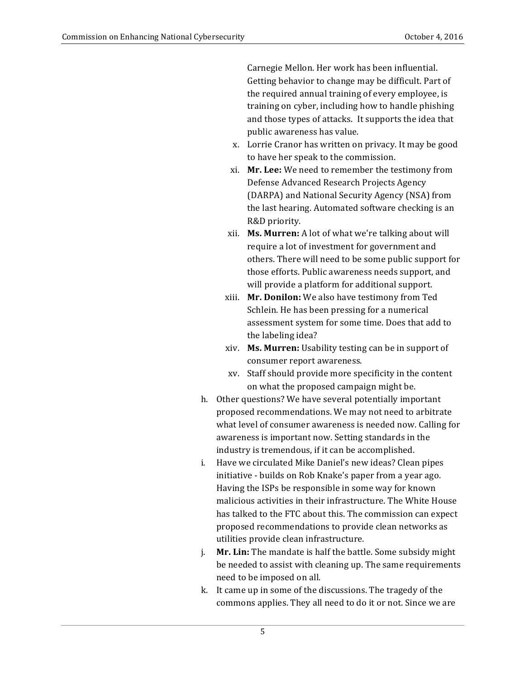Carnegie Mellon. Her work has been influential. Getting behavior to change may be difficult. Part of the required annual training of every employee, is training on cyber, including how to handle phishing and those types of attacks. It supports the idea that public awareness has value.

- x. Lorrie Cranor has written on privacy. It may be good to have her speak to the commission.
- xi. **Mr. Lee:** We need to remember the testimony from Defense Advanced Research Projects Agency (DARPA) and National Security Agency (NSA) from the last hearing. Automated software checking is an R&D priority.
- xii. **Ms. Murren:** A lot of what we're talking about will require a lot of investment for government and others. There will need to be some public support for those efforts. Public awareness needs support, and will provide a platform for additional support.
- xiii. **Mr. Donilon:** We also have testimony from Ted Schlein. He has been pressing for a numerical assessment system for some time. Does that add to the labeling idea?
- xiv. **Ms. Murren:** Usability testing can be in support of consumer report awareness.
- xv. Staff should provide more specificity in the content on what the proposed campaign might be.
- h. Other questions? We have several potentially important what level of consumer awareness is needed now. Calling for awareness is important now. Setting standards in the industry is tremendous, if it can be accomplished. proposed recommendations. We may not need to arbitrate
- i. Have we circulated Mike Daniel's new ideas? Clean pipes initiative - builds on Rob Knake's paper from a year ago. Having the ISPs be responsible in some way for known malicious activities in their infrastructure. The White House has talked to the FTC about this. The commission can expect proposed recommendations to provide clean networks as utilities provide clean infrastructure.
- **Mr. Lin:** The mandate is half the battle. Some subsidy might be needed to assist with cleaning up. The same requirements need to be imposed on all. j.
- k. It came up in some of the discussions. The tragedy of the commons applies. They all need to do it or not. Since we are